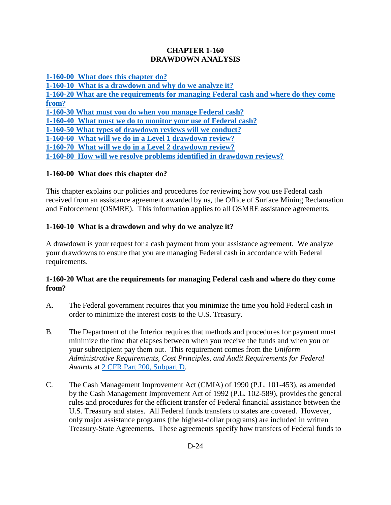#### **CHAPTER 1-160 DRAWDOWN ANALYSIS**

**[1-160-00 What does this chapter do?](#page-0-0)**

**[1-160-10 What is a drawdown and why do we analyze it?](#page-0-1) [1-160-20 What are the requirements for managing Federal cash and where do they come](#page-0-2)  [from?](#page-0-2) [1-160-30 What must you do when you manage Federal cash?](#page-1-0) [1-160-40 What must we do to monitor your use of Federal cash?](#page-1-1) [1-160-50 What types of drawdown reviews will we conduct?](#page-1-2) [1-160-60 What will we do in a Level 1 drawdown review?](#page-2-0) [1-160-70 What will we do in a Level 2 drawdown review?](#page-3-0) [1-160-80 How will we resolve problems identified in drawdown reviews?](#page-3-1)**

# <span id="page-0-0"></span>**1-160-00 What does this chapter do?**

This chapter explains our policies and procedures for reviewing how you use Federal cash received from an assistance agreement awarded by us, the Office of Surface Mining Reclamation and Enforcement (OSMRE). This information applies to all OSMRE assistance agreements.

# <span id="page-0-1"></span>**1-160-10 What is a drawdown and why do we analyze it?**

A drawdown is your request for a cash payment from your assistance agreement. We analyze your drawdowns to ensure that you are managing Federal cash in accordance with Federal requirements.

#### <span id="page-0-2"></span>**1-160-20 What are the requirements for managing Federal cash and where do they come from?**

- A. The Federal government requires that you minimize the time you hold Federal cash in order to minimize the interest costs to the U.S. Treasury.
- B. The Department of the Interior requires that methods and procedures for payment must minimize the time that elapses between when you receive the funds and when you or your subrecipient pay them out. This requirement comes from the *Uniform Administrative Requirements, Cost Principles, and Audit Requirements for Federal Awards* at [2 CFR Part 200, Subpart D.](http://www.ecfr.gov/cgi-bin/text-idx?SID=f8b92947e4700b6fe47d653de8da30fa&mc=true&tpl=/ecfrbrowse/Title02/2tab_02.tplhttp://www.ecfr.gov/cgi-bin/text-idx?SID=f8b92947e4700b6fe47d653de8da30fa&mc=true&tpl=/ecfrbrowse/Title02/2tab_02.tpl)
- C. The Cash Management Improvement Act (CMIA) of 1990 (P.L. 101-453), as amended by the Cash Management Improvement Act of 1992 (P.L. 102-589), provides the general rules and procedures for the efficient transfer of Federal financial assistance between the U.S. Treasury and states. All Federal funds transfers to states are covered. However, only major assistance programs (the highest-dollar programs) are included in written Treasury-State Agreements. These agreements specify how transfers of Federal funds to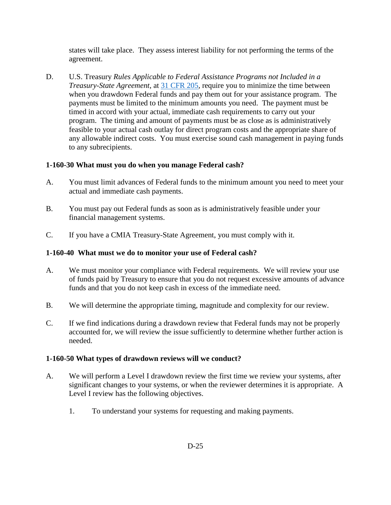states will take place. They assess interest liability for not performing the terms of the agreement.

D. U.S. Treasury *Rules Applicable to Federal Assistance Programs not Included in a Treasury-State Agreement*, at [31 CFR 205,](http://www.ecfr.gov/cgi-bin/text-idx?SID=f8b92947e4700b6fe47d653de8da30fa&mc=true&node=pt31.2.205&rgn=div5) require you to minimize the time between when you drawdown Federal funds and pay them out for your assistance program. The payments must be limited to the minimum amounts you need. The payment must be timed in accord with your actual, immediate cash requirements to carry out your program. The timing and amount of payments must be as close as is administratively feasible to your actual cash outlay for direct program costs and the appropriate share of any allowable indirect costs. You must exercise sound cash management in paying funds to any subrecipients.

# <span id="page-1-0"></span>**1-160-30 What must you do when you manage Federal cash?**

- A. You must limit advances of Federal funds to the minimum amount you need to meet your actual and immediate cash payments.
- B. You must pay out Federal funds as soon as is administratively feasible under your financial management systems.
- C. If you have a CMIA Treasury-State Agreement, you must comply with it.

# <span id="page-1-1"></span>**1-160-40 What must we do to monitor your use of Federal cash?**

- A. We must monitor your compliance with Federal requirements. We will review your use of funds paid by Treasury to ensure that you do not request excessive amounts of advance funds and that you do not keep cash in excess of the immediate need.
- B. We will determine the appropriate timing, magnitude and complexity for our review.
- C. If we find indications during a drawdown review that Federal funds may not be properly accounted for, we will review the issue sufficiently to determine whether further action is needed.

#### <span id="page-1-2"></span>**1-160-50 What types of drawdown reviews will we conduct?**

- A. We will perform a Level I drawdown review the first time we review your systems, after significant changes to your systems, or when the reviewer determines it is appropriate. A Level I review has the following objectives.
	- 1. To understand your systems for requesting and making payments.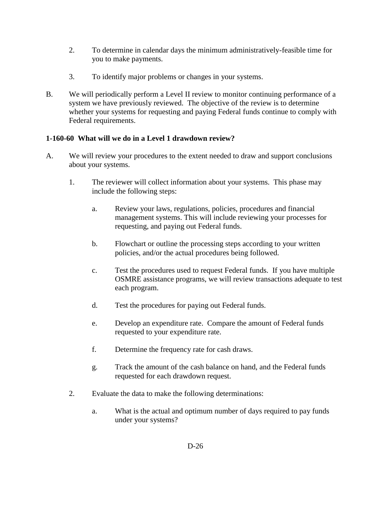- 2. To determine in calendar days the minimum administratively-feasible time for you to make payments.
- 3. To identify major problems or changes in your systems.
- B. We will periodically perform a Level II review to monitor continuing performance of a system we have previously reviewed. The objective of the review is to determine whether your systems for requesting and paying Federal funds continue to comply with Federal requirements.

# <span id="page-2-0"></span>**1-160-60 What will we do in a Level 1 drawdown review?**

- A. We will review your procedures to the extent needed to draw and support conclusions about your systems.
	- 1. The reviewer will collect information about your systems. This phase may include the following steps:
		- a. Review your laws, regulations, policies, procedures and financial management systems. This will include reviewing your processes for requesting, and paying out Federal funds.
		- b. Flowchart or outline the processing steps according to your written policies, and/or the actual procedures being followed.
		- c. Test the procedures used to request Federal funds. If you have multiple OSMRE assistance programs, we will review transactions adequate to test each program.
		- d. Test the procedures for paying out Federal funds.
		- e. Develop an expenditure rate. Compare the amount of Federal funds requested to your expenditure rate.
		- f. Determine the frequency rate for cash draws.
		- g. Track the amount of the cash balance on hand, and the Federal funds requested for each drawdown request.
	- 2. Evaluate the data to make the following determinations:
		- a. What is the actual and optimum number of days required to pay funds under your systems?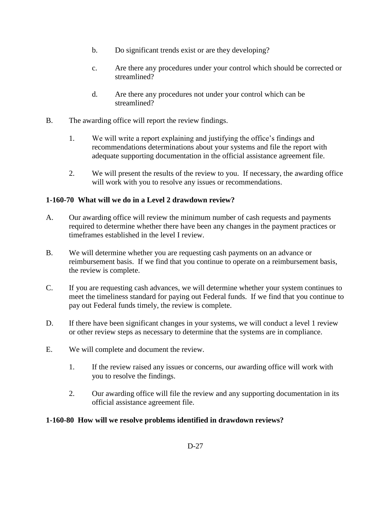- b. Do significant trends exist or are they developing?
- c. Are there any procedures under your control which should be corrected or streamlined?
- d. Are there any procedures not under your control which can be streamlined?
- B. The awarding office will report the review findings.
	- 1. We will write a report explaining and justifying the office's findings and recommendations determinations about your systems and file the report with adequate supporting documentation in the official assistance agreement file.
	- 2. We will present the results of the review to you. If necessary, the awarding office will work with you to resolve any issues or recommendations.

#### <span id="page-3-0"></span>**1-160-70 What will we do in a Level 2 drawdown review?**

- A. Our awarding office will review the minimum number of cash requests and payments required to determine whether there have been any changes in the payment practices or timeframes established in the level I review.
- B. We will determine whether you are requesting cash payments on an advance or reimbursement basis. If we find that you continue to operate on a reimbursement basis, the review is complete.
- C. If you are requesting cash advances, we will determine whether your system continues to meet the timeliness standard for paying out Federal funds. If we find that you continue to pay out Federal funds timely, the review is complete.
- D. If there have been significant changes in your systems, we will conduct a level 1 review or other review steps as necessary to determine that the systems are in compliance.
- E. We will complete and document the review.
	- 1. If the review raised any issues or concerns, our awarding office will work with you to resolve the findings.
	- 2. Our awarding office will file the review and any supporting documentation in its official assistance agreement file.

#### <span id="page-3-1"></span>**1-160-80 How will we resolve problems identified in drawdown reviews?**